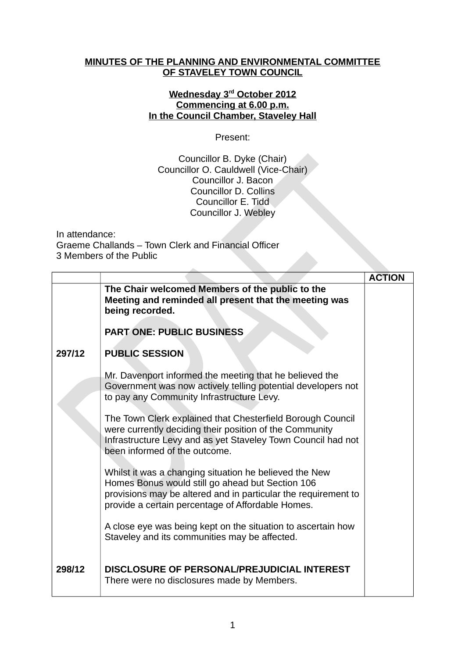## **MINUTES OF THE PLANNING AND ENVIRONMENTAL COMMITTEE OF STAVELEY TOWN COUNCIL**

## **Wednesday 3rd October 2012 Commencing at 6.00 p.m. In the Council Chamber, Staveley Hall**

Present:

Councillor B. Dyke (Chair) Councillor O. Cauldwell (Vice-Chair) Councillor J. Bacon Councillor D. Collins Councillor E. Tidd Councillor J. Webley

In attendance: Graeme Challands – Town Clerk and Financial Officer 3 Members of the Public

|        |                                                                                                                                                                                                                                   | <b>ACTION</b> |
|--------|-----------------------------------------------------------------------------------------------------------------------------------------------------------------------------------------------------------------------------------|---------------|
|        | The Chair welcomed Members of the public to the<br>Meeting and reminded all present that the meeting was<br>being recorded.                                                                                                       |               |
|        | <b>PART ONE: PUBLIC BUSINESS</b>                                                                                                                                                                                                  |               |
| 297/12 | <b>PUBLIC SESSION</b>                                                                                                                                                                                                             |               |
|        | Mr. Davenport informed the meeting that he believed the<br>Government was now actively telling potential developers not<br>to pay any Community Infrastructure Levy.                                                              |               |
|        | The Town Clerk explained that Chesterfield Borough Council<br>were currently deciding their position of the Community<br>Infrastructure Levy and as yet Staveley Town Council had not<br>been informed of the outcome.            |               |
|        | Whilst it was a changing situation he believed the New<br>Homes Bonus would still go ahead but Section 106<br>provisions may be altered and in particular the requirement to<br>provide a certain percentage of Affordable Homes. |               |
|        | A close eye was being kept on the situation to ascertain how<br>Staveley and its communities may be affected.                                                                                                                     |               |
| 298/12 | DISCLOSURE OF PERSONAL/PREJUDICIAL INTEREST<br>There were no disclosures made by Members.                                                                                                                                         |               |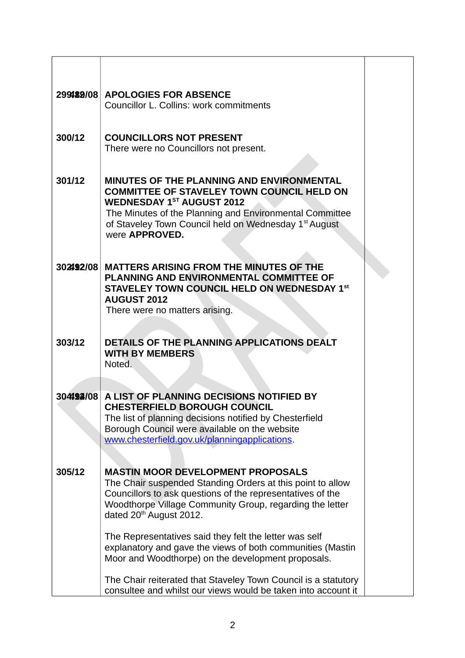|           | 299189/08 APOLOGIES FOR ABSENCE<br>Councillor L. Collins: work commitments                                                                                                                                                                                                                                                                                                                                                                            |  |
|-----------|-------------------------------------------------------------------------------------------------------------------------------------------------------------------------------------------------------------------------------------------------------------------------------------------------------------------------------------------------------------------------------------------------------------------------------------------------------|--|
| 300/12    | <b>COUNCILLORS NOT PRESENT</b><br>There were no Councillors not present.                                                                                                                                                                                                                                                                                                                                                                              |  |
| 301/12    | <b>MINUTES OF THE PLANNING AND ENVIRONMENTAL</b><br><b>COMMITTEE OF STAVELEY TOWN COUNCIL HELD ON</b><br><b>WEDNESDAY 1ST AUGUST 2012</b><br>The Minutes of the Planning and Environmental Committee<br>of Staveley Town Council held on Wednesday 1 <sup>st</sup> August<br>were APPROVED.                                                                                                                                                           |  |
| 302492/08 | <b>MATTERS ARISING FROM THE MINUTES OF THE</b><br>PLANNING AND ENVIRONMENTAL COMMITTEE OF<br>STAVELEY TOWN COUNCIL HELD ON WEDNESDAY 1st<br><b>AUGUST 2012</b><br>There were no matters arising.                                                                                                                                                                                                                                                      |  |
| 303/12    | <b>DETAILS OF THE PLANNING APPLICATIONS DEALT</b><br><b>WITH BY MEMBERS</b><br>Noted.                                                                                                                                                                                                                                                                                                                                                                 |  |
|           | 304492/08 A LIST OF PLANNING DECISIONS NOTIFIED BY<br><b>CHESTERFIELD BOROUGH COUNCIL</b><br>The list of planning decisions notified by Chesterfield<br>Borough Council were available on the website<br>www.chesterfield.gov.uk/planningapplications.                                                                                                                                                                                                |  |
| 305/12    | <b>MASTIN MOOR DEVELOPMENT PROPOSALS</b><br>The Chair suspended Standing Orders at this point to allow<br>Councillors to ask questions of the representatives of the<br>Woodthorpe Village Community Group, regarding the letter<br>dated 20 <sup>th</sup> August 2012.<br>The Representatives said they felt the letter was self<br>explanatory and gave the views of both communities (Mastin<br>Moor and Woodthorpe) on the development proposals. |  |
|           | The Chair reiterated that Staveley Town Council is a statutory<br>consultee and whilst our views would be taken into account it                                                                                                                                                                                                                                                                                                                       |  |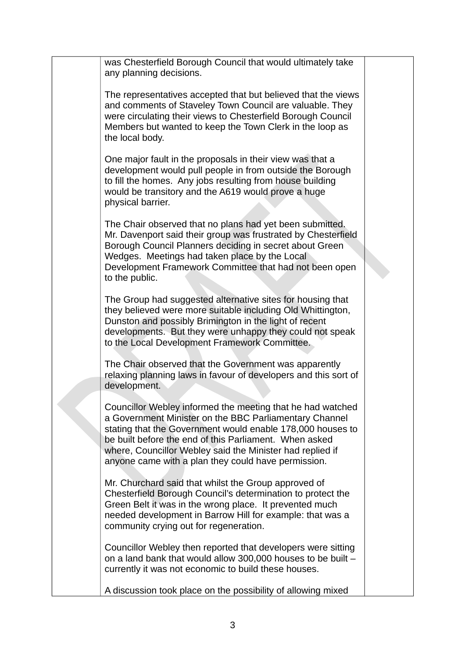|  | was Chesterfield Borough Council that would ultimately take<br>any planning decisions.                                                                                                                                                                                                                                                                           |  |
|--|------------------------------------------------------------------------------------------------------------------------------------------------------------------------------------------------------------------------------------------------------------------------------------------------------------------------------------------------------------------|--|
|  | The representatives accepted that but believed that the views<br>and comments of Staveley Town Council are valuable. They<br>were circulating their views to Chesterfield Borough Council<br>Members but wanted to keep the Town Clerk in the loop as<br>the local body.                                                                                         |  |
|  | One major fault in the proposals in their view was that a<br>development would pull people in from outside the Borough<br>to fill the homes. Any jobs resulting from house building<br>would be transitory and the A619 would prove a huge<br>physical barrier.                                                                                                  |  |
|  | The Chair observed that no plans had yet been submitted.<br>Mr. Davenport said their group was frustrated by Chesterfield<br>Borough Council Planners deciding in secret about Green<br>Wedges. Meetings had taken place by the Local<br>Development Framework Committee that had not been open<br>to the public.                                                |  |
|  | The Group had suggested alternative sites for housing that<br>they believed were more suitable including Old Whittington,<br>Dunston and possibly Brimington in the light of recent<br>developments. But they were unhappy they could not speak<br>to the Local Development Framework Committee.                                                                 |  |
|  | The Chair observed that the Government was apparently<br>relaxing planning laws in favour of developers and this sort of<br>development.                                                                                                                                                                                                                         |  |
|  | Councillor Webley informed the meeting that he had watched<br>a Government Minister on the BBC Parliamentary Channel<br>stating that the Government would enable 178,000 houses to<br>be built before the end of this Parliament. When asked<br>where, Councillor Webley said the Minister had replied if<br>anyone came with a plan they could have permission. |  |
|  | Mr. Churchard said that whilst the Group approved of<br>Chesterfield Borough Council's determination to protect the<br>Green Belt it was in the wrong place. It prevented much<br>needed development in Barrow Hill for example: that was a<br>community crying out for regeneration.                                                                            |  |
|  | Councillor Webley then reported that developers were sitting<br>on a land bank that would allow 300,000 houses to be built -<br>currently it was not economic to build these houses.                                                                                                                                                                             |  |
|  | A discussion took place on the possibility of allowing mixed                                                                                                                                                                                                                                                                                                     |  |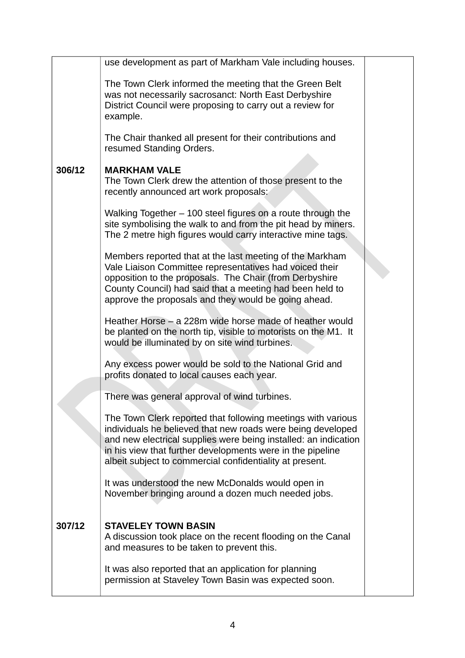|        | use development as part of Markham Vale including houses.                                                                                                                                                                                                                                                                |  |
|--------|--------------------------------------------------------------------------------------------------------------------------------------------------------------------------------------------------------------------------------------------------------------------------------------------------------------------------|--|
|        | The Town Clerk informed the meeting that the Green Belt<br>was not necessarily sacrosanct: North East Derbyshire<br>District Council were proposing to carry out a review for<br>example.                                                                                                                                |  |
|        | The Chair thanked all present for their contributions and<br>resumed Standing Orders.                                                                                                                                                                                                                                    |  |
| 306/12 | <b>MARKHAM VALE</b><br>The Town Clerk drew the attention of those present to the<br>recently announced art work proposals:                                                                                                                                                                                               |  |
|        | Walking Together - 100 steel figures on a route through the<br>site symbolising the walk to and from the pit head by miners.<br>The 2 metre high figures would carry interactive mine tags.                                                                                                                              |  |
|        | Members reported that at the last meeting of the Markham<br>Vale Liaison Committee representatives had voiced their<br>opposition to the proposals. The Chair (from Derbyshire<br>County Council) had said that a meeting had been held to<br>approve the proposals and they would be going ahead.                       |  |
|        | Heather Horse – a 228m wide horse made of heather would<br>be planted on the north tip, visible to motorists on the M1. It<br>would be illuminated by on site wind turbines.                                                                                                                                             |  |
|        | Any excess power would be sold to the National Grid and<br>profits donated to local causes each year.                                                                                                                                                                                                                    |  |
|        | There was general approval of wind turbines.                                                                                                                                                                                                                                                                             |  |
|        | The Town Clerk reported that following meetings with various<br>individuals he believed that new roads were being developed<br>and new electrical supplies were being installed: an indication<br>in his view that further developments were in the pipeline<br>albeit subject to commercial confidentiality at present. |  |
|        | It was understood the new McDonalds would open in<br>November bringing around a dozen much needed jobs.                                                                                                                                                                                                                  |  |
| 307/12 | <b>STAVELEY TOWN BASIN</b>                                                                                                                                                                                                                                                                                               |  |
|        | A discussion took place on the recent flooding on the Canal<br>and measures to be taken to prevent this.                                                                                                                                                                                                                 |  |
|        | It was also reported that an application for planning<br>permission at Staveley Town Basin was expected soon.                                                                                                                                                                                                            |  |